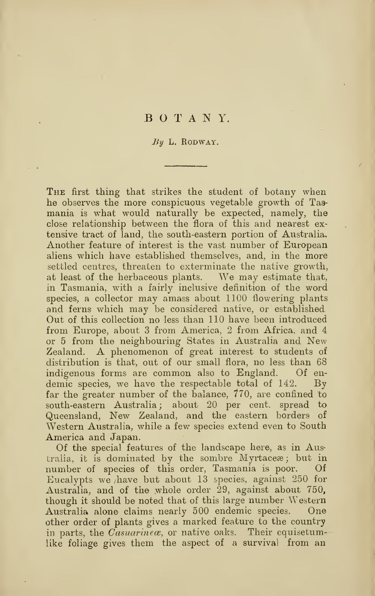## BOTANY.

## $By L.$  RODWAY.

The first thing that strikes the student of botany when he observes the more conspicuous vegetable growth of Tasmania is what would naturally be expected, namely, the close relationship between the flora of this and nearest ex tensive tract of land, the south-eastern portion of Australia, Another feature of interest is the vast number of European aliens which have established themselves, and, in the more settled centres, threaten to exterminate the native growth, at least of the herbaceous plants. We may estimate that, in Tasmania, with a fairly inclusive definition of the word species, a collector may amass about 1100 flowering plants and ferns which may be considered native, or established Out of this collection no less than 110 have been introduced from Europe, about 3 from America, 2 from Africa, and 4 or <sup>5</sup> from the neighbouring States in Australia and New Zealand. A phenomenon of great interest to students of distribution is that, out of our small flora, no less than 68 indigenous forms are common also to England. Of en demic species, we have the respectable total of 142. By far the greater number of the balance,  $770$ , are confined to south-eastern Australia; about 20 per cent, spread to Queensland, New Zealand, and the eastern borders of Western Australia, while a few species extend even to South America and Japan.

Of the special features of the landscape here, as in Australia, it is dominated by the sombre Myrtace a; but in number of species of this order, Tasmania is poor. Of Eucalypts we have but about 13 species, against  $250$  for Australia, and of the whole order 29, against about 750, though it should be noted that of this large number Western Australia alone claims nearly 500 endemic species. One other order of plants gives a marked feature to the country in parts, the  $\bar{Casuarine}$ , or native oaks. Their equisetumlike foliage gives them the aspect of a survival from an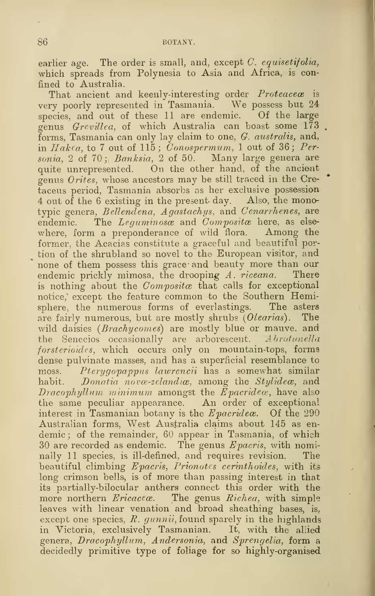earlier age. The order is small, and, except  $C$ . equisetifolia, which spreads from Polynesia to Asia and Africa, is confined to Australia.

That ancient and keenly-interesting order *Proteacece* is very poorly represented in Tasmania. We possess but <sup>24</sup> species, and out of these 11 are endemic. Of the large genus Grevillea, of which Australia can boast some 173 forms, Tasmania can only lay claim to one, G. australis, and, in  $Hakea$ , to 7 out of 115; Conospermum, 1 out of 36; Personia, 2 of 70; Banksia, 2 of 50. Many large genera are quite unrepresented. On the other hand, of the ancient genus Orites, whose ancestors may be still traced in the Cretaceus period, Tasmania absorbs as her exclusive possession <sup>4</sup> out of the <sup>6</sup> existing in the present day. Also, the mono typic genera, Bellendena, Agastachys, and Cenarrhenes, are endemic. The  $Lequminose$  and  $Composite$  here, as elsewhere, form <sup>a</sup> preponderance of wild flora. Among the former, the Acacias constitute a graceful and beautiful portion of the shrubland so novel to the European visitor, and none of them possess this grace and beauty more than our endemic prickly mimosa, the drooping  $A$ , riceana. There endemic prickly mimosa, the drooping  $A$ . riceana. is nothing about the  $Composite$  that calls for exceptional notice,' except the feature common to the Southern Hemisphere, the numerous forms of everlastings. The asters are fairly numerous, but are mostly shrubs  $(Olearias)$ . The wild daisies (*Brachycomes*) are mostly blue or mauve, and the Senecios occasionally are arborescent.  $A\,b$ rotanella forsterioides, which occurs only on mountain-tops, forms dense pulvinate masses, and has a superficial resemblance to moss. Pterygopappus lawrencii has a somewhat similar habit. Donatia novæ-zelandiæ, among the Stylidece, and Dracophyllum minimum amongst the Epacridex, have also the same peculiar appearance. An order of exceptional interest in Tasmanian botany is the  $E$ *pacridea*. Of the 290 Australian forms. West Australia claims about 145 as en demic; of the remainder, 60 appear in Tasmania, of which 30 are recorded as endemic. The genus  $E$  pacris, with nominally 11 species, is ill-defined, and requires revision. The beautiful climbing  $E$ pacris, Prionotes cerinthoides, with its long crimson bells, is of more than passing interest in that its partially-bilocular anthers connect this order with the more northern  $Ericace$ . The genus  $Richea$ , with simple leaves with linear venation and broad sheathing bases, is, except one species,  $R.$  gunnii, found sparely in the highlands in Victoria, exclusively Tasmanian. It, with the allied genera, Dracophyllum, Andersonia, and Sprengelia, form a decidedly primitive type of foliage for so highly-organised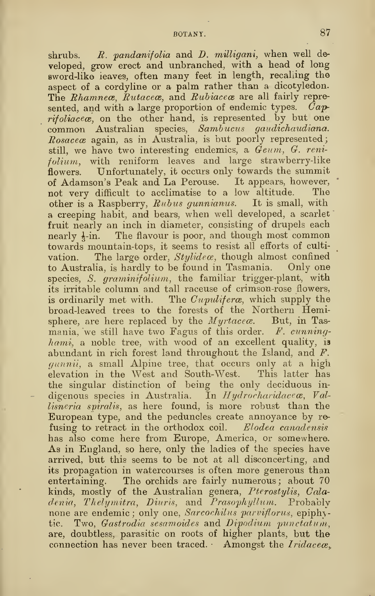shrubs.  $R.$  pandanifolia and  $D.$  milligani, when well developed, grow erect and unbranched, with a head of long sword-like leaves, often many feet in length, recalling the aspect of a cordyline or a palm rather than a dicotyledon. The Rhamnece, Rutacece, and Rubiacece are all fairly represented, and with a large proportion of endemic types.  $\hat{C}ap$ rifoliacece, on the other hand, is represented by but one common Australian species, Sambucus gaudichaudiana.  $Rosaceae$  again, as in Australia, is but poorly represented; still, we have two interesting endemics, a Geum, G. reni $folium$ , with reniform leaves and large strawberry-like flowers. Unfortunately, it occurs only towards the summit of Adamson's Peak and La Perouse. It appears, however, not very difficult to acclimatise to a low altitude. The other is a Raspberry,  $Rubus$  gunnianus. It is small, with a creeping habit, and bears, when well developed, a scarlet fruit nearly an inch in diameter, consisting of drupels each nearly  $\frac{1}{2}$ -in. The flavour is poor, and though most common towards mountain-tops, it seems to resist all efforts of cultivation. The large order,  $Sty$ *idex*, though almost confined to Australia, is hardly to be found in Tasmania. Only one species, S. graminifolium, the familiar trigger-plant, with its irritable column and tall raceuse of crimson-rose flowers, is ordinarily met with. The  $Cupuliferae$ , which supply the broad-leaved trees to the forests of the Northern Hemisphere, are here replaced by the  $Myrtacece$ . But, in Tasmania, we still have two Fagus of this order.  $F.$  cunning $hami$ , a noble tree, with wood of an excellent quality, is abundant in rich forest land throughout the Island, and F. quanii, a small Alpine tree, that occurs only at a high elevation in the West and South-West. This latter has the singular distinction of being the only deciduous indigenous species in Australia. In  $Hydrocharidace$  $\boldsymbol{\alpha}$ , Val $lisneria\;\; spiralis,\;\;as\;\;here\;\;\;found,\;\;is\;\;more\;\;robust\;\;than\;\;the\;\;$ European type, and the peduncles create annoyance by re fusing to retract in the orthodox coil. Elodea canadensis has also come here from Europe, America, or somewhere. As in England, so here, only the ladies of the species have arrived, but this seems to be not at all disconcerting, and its propagation in watercourses is often more generous than entertaining. The orchids are fairly numerous; about 70 kinds, mostly of the Australian genera, Pterostylis, Caladenia, Thelymitra, Diuris, and Prasophyllum. Probably none are endemic ; only one, Sarcochilus parviflorus, epiphytic. Two, *Gastrodia sesamoides* and *Dipodium punctatum*, are, doubtless, parasitic on roots of higher plants, but the connection has never been traced. Amongst the Iridacea.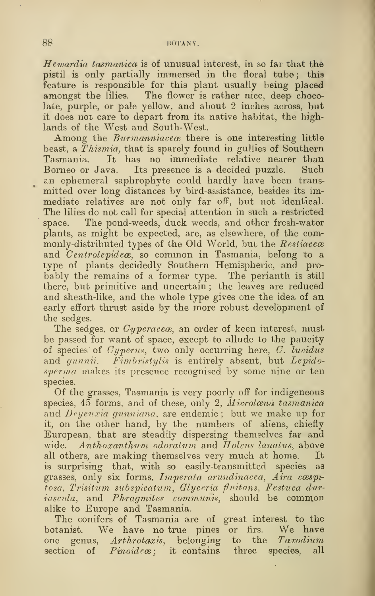## 88 BOTANY.

Hewardia tasmanica is of unusual interest, in so far that the pistil is only partially inwnersed in the floral tube; this feature is responsible for this plant usually being placed amongst the lilies. The flower is rather nice, deep chocolate, purple, or pale yellow, and about 2 inches across, but it does not care to depart from its native habitat, the highlands of the West and South-West.

Among the *Burmanniacece* there is one interesting little beast, a Thismia, that is sparely found in gullies of Southern Tasmania. It has no immediate relative nearer than Borneo or Java. Its presence is a decided puzzle. Such an ephemeral saphrophyte could hardly have been transmitted over long distances by bird-assistance, besides its immediate relatives are not only far off, but not identical. The lilies do not call for special attention in such a restricted space. The pond-weeds, duck weeds, and other fresh-water plants, as might be expected, are, as elsewhere, of the commonly-distributed types of the Old World, but the  $Resiacece$ and  $\emph{Centrolepideæ},$  so common in Tasmania, belong to a type of plants decidedly Southern Hemispheric, and probably the remains of a former type. The perianth is still there, but primitive and uncertain ; the leaves are reduced and sheath-like, and the whole type gives one the idea of an early effort thrust aside by the more robust development of the sedges.

The sedges, or *Cyperacea*, an order of keen interest, must be passed for want of space, except to allude to the paucity of species of  $Cyperus$ , two only occurring here,  $C$ . lucidus and gunnii. Fimbristylis is entirely absent, but Lepidosperma makes its presence recognised by some nine or ten species.

Of the grasses, Tasmania is very poorly off for indigeneous species,  $45$  forms, and of these, only 2, Microlana tasmanica and  $Deyeuxia gunniana$ , are endemic; but we make up for it, on the other hand, by the numbers of aliens, chiefly European, that are steadily dispersing themselves far and wide. Anthoxanthum odoratum and Holcus lanatus, above all others, are making themselves very much at home. It is surprising that, with so easily-transmitted species as grasses, only six forms, Imperata arundinacea, Aira cæspifosa, Trisitum subspicatum., Glycerin fluitans, Festuca duriuscula, and Phragmites communis, should be common alike to Europe and Tasmania.

The conifers of Tasmania are of great interest to the botanist. We have no true pines or firs. We have one genus, Arthrotaxis, belonging to the Taxodium section of  $Pinoide\alpha$ ; it contains three species, all